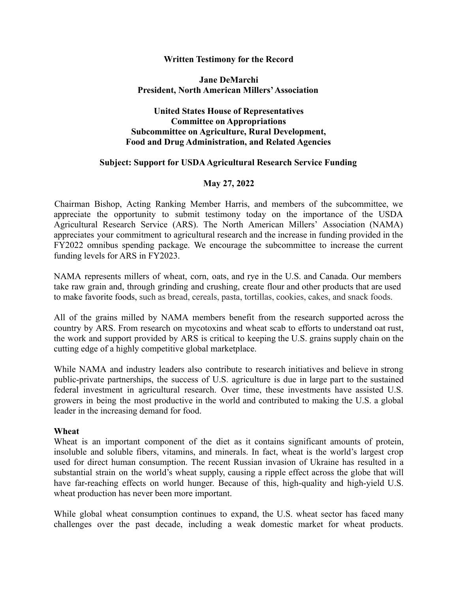#### **Written Testimony for the Record**

#### **Jane DeMarchi President, North American Millers'Association**

# **United States House of Representatives Committee on Appropriations Subcommittee on Agriculture, Rural Development, Food and Drug Administration, and Related Agencies**

### **Subject: Support for USDAAgricultural Research Service Funding**

# **May 27, 2022**

Chairman Bishop, Acting Ranking Member Harris, and members of the subcommittee, we appreciate the opportunity to submit testimony today on the importance of the USDA Agricultural Research Service (ARS). The North American Millers' Association (NAMA) appreciates your commitment to agricultural research and the increase in funding provided in the FY2022 omnibus spending package. We encourage the subcommittee to increase the current funding levels for ARS in FY2023.

NAMA represents millers of wheat, corn, oats, and rye in the U.S. and Canada. Our members take raw grain and, through grinding and crushing, create flour and other products that are used to make favorite foods, such as bread, cereals, pasta, tortillas, cookies, cakes, and snack foods.

All of the grains milled by NAMA members benefit from the research supported across the country by ARS. From research on mycotoxins and wheat scab to efforts to understand oat rust, the work and support provided by ARS is critical to keeping the U.S. grains supply chain on the cutting edge of a highly competitive global marketplace.

While NAMA and industry leaders also contribute to research initiatives and believe in strong public-private partnerships, the success of U.S. agriculture is due in large part to the sustained federal investment in agricultural research. Over time, these investments have assisted U.S. growers in being the most productive in the world and contributed to making the U.S. a global leader in the increasing demand for food.

### **Wheat**

Wheat is an important component of the diet as it contains significant amounts of protein, insoluble and soluble fibers, vitamins, and minerals. In fact, wheat is the world's largest crop used for direct human consumption. The recent Russian invasion of Ukraine has resulted in a substantial strain on the world's wheat supply, causing a ripple effect across the globe that will have far-reaching effects on world hunger. Because of this, high-quality and high-yield U.S. wheat production has never been more important.

While global wheat consumption continues to expand, the U.S. wheat sector has faced many challenges over the past decade, including a weak domestic market for wheat products.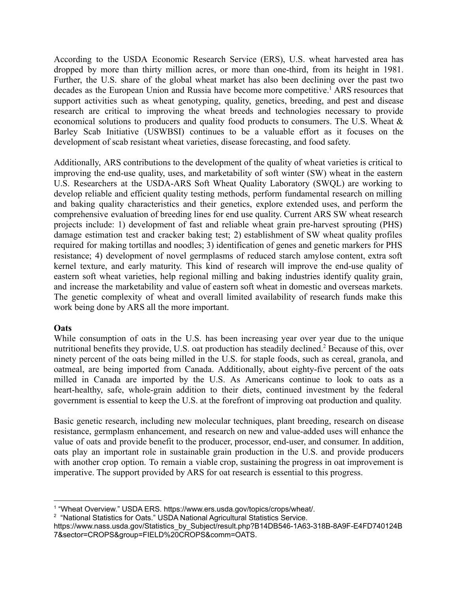According to the USDA Economic Research Service (ERS), U.S. wheat harvested area has dropped by more than thirty million acres, or more than one-third, from its height in 1981. Further, the U.S. share of the global wheat market has also been declining over the past two decades as the European Union and Russia have become more competitive.<sup>1</sup> ARS resources that support activities such as wheat genotyping, quality, genetics, breeding, and pest and disease research are critical to improving the wheat breeds and technologies necessary to provide economical solutions to producers and quality food products to consumers. The U.S. Wheat & Barley Scab Initiative (USWBSI) continues to be a valuable effort as it focuses on the development of scab resistant wheat varieties, disease forecasting, and food safety.

Additionally, ARS contributions to the development of the quality of wheat varieties is critical to improving the end-use quality, uses, and marketability of soft winter (SW) wheat in the eastern U.S. Researchers at the USDA-ARS Soft Wheat Quality Laboratory (SWQL) are working to develop reliable and efficient quality testing methods, perform fundamental research on milling and baking quality characteristics and their genetics, explore extended uses, and perform the comprehensive evaluation of breeding lines for end use quality. Current ARS SW wheat research projects include: 1) development of fast and reliable wheat grain pre-harvest sprouting (PHS) damage estimation test and cracker baking test; 2) establishment of SW wheat quality profiles required for making tortillas and noodles; 3) identification of genes and genetic markers for PHS resistance; 4) development of novel germplasms of reduced starch amylose content, extra soft kernel texture, and early maturity. This kind of research will improve the end-use quality of eastern soft wheat varieties, help regional milling and baking industries identify quality grain, and increase the marketability and value of eastern soft wheat in domestic and overseas markets. The genetic complexity of wheat and overall limited availability of research funds make this work being done by ARS all the more important.

### **Oats**

While consumption of oats in the U.S. has been increasing year over year due to the unique nutritional benefits they provide, U.S. oat production has steadily declined.<sup>2</sup> Because of this, over ninety percent of the oats being milled in the U.S. for staple foods, such as cereal, granola, and oatmeal, are being imported from Canada. Additionally, about eighty-five percent of the oats milled in Canada are imported by the U.S. As Americans continue to look to oats as a heart-healthy, safe, whole-grain addition to their diets, continued investment by the federal government is essential to keep the U.S. at the forefront of improving oat production and quality.

Basic genetic research, including new molecular techniques, plant breeding, research on disease resistance, germplasm enhancement, and research on new and value-added uses will enhance the value of oats and provide benefit to the producer, processor, end-user, and consumer. In addition, oats play an important role in sustainable grain production in the U.S. and provide producers with another crop option. To remain a viable crop, sustaining the progress in oat improvement is imperative. The support provided by ARS for oat research is essential to this progress.

<sup>2</sup> "National Statistics for Oats." USDA National Agricultural Statistics Service.

<sup>1</sup> "Wheat Overview." USDA ERS. https://www.ers.usda.gov/topics/crops/wheat/.

https://www.nass.usda.gov/Statistics\_by\_Subject/result.php?B14DB546-1A63-318B-8A9F-E4FD740124B 7&sector=CROPS&group=FIELD%20CROPS&comm=OATS.